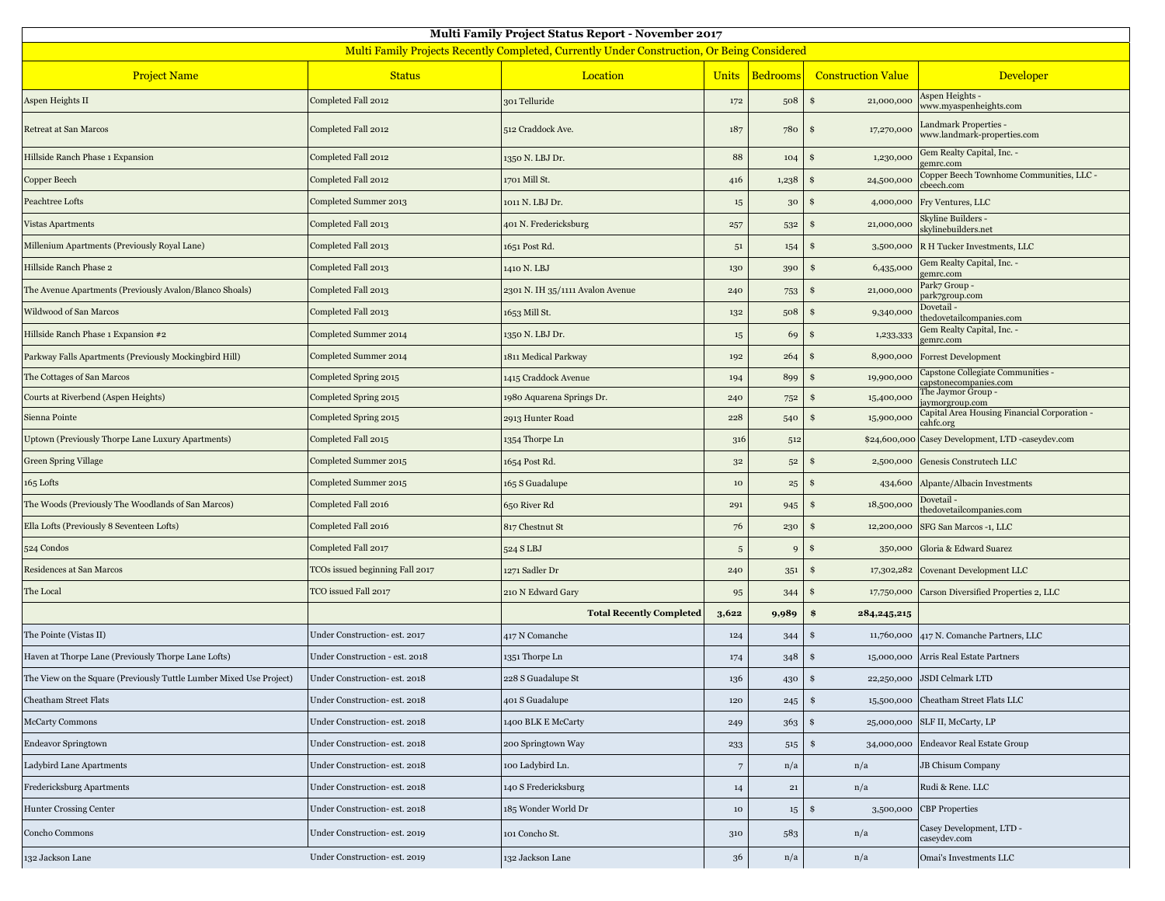| <b>Multi Family Project Status Report - November 2017</b>                                   |                                 |                                  |                 |                 |                            |                                                             |  |  |  |  |
|---------------------------------------------------------------------------------------------|---------------------------------|----------------------------------|-----------------|-----------------|----------------------------|-------------------------------------------------------------|--|--|--|--|
| Multi Family Projects Recently Completed, Currently Under Construction, Or Being Considered |                                 |                                  |                 |                 |                            |                                                             |  |  |  |  |
| <b>Project Name</b>                                                                         | <b>Status</b>                   | Location                         | <b>Units</b>    | <b>Bedrooms</b> | <b>Construction Value</b>  | Developer                                                   |  |  |  |  |
| Aspen Heights II                                                                            | Completed Fall 2012             | 301 Telluride                    | 172             | 508             | 21,000,000<br>\$           | Aspen Heights -<br>www.myaspenheights.com                   |  |  |  |  |
| Retreat at San Marcos                                                                       | Completed Fall 2012             | 512 Craddock Ave.                | 187             | 780             | 17,270,000<br>\$           | <b>Landmark Properties -</b><br>www.landmark-properties.com |  |  |  |  |
| Hillside Ranch Phase 1 Expansion                                                            | Completed Fall 2012             | 1350 N. LBJ Dr.                  | 88              | 104             | 1,230,000<br>S             | Gem Realty Capital, Inc. -<br>gemrc.com                     |  |  |  |  |
| Copper Beech                                                                                | Completed Fall 2012             | 1701 Mill St.                    | 416             | 1,238           | 24,500,000<br>S            | Copper Beech Townhome Communities, LLC -<br>cbeech.com      |  |  |  |  |
| Peachtree Lofts                                                                             | Completed Summer 2013           | 1011 N. LBJ Dr.                  | $15\,$          | 30              | 4,000,000<br>S             | Fry Ventures, LLC                                           |  |  |  |  |
| <b>Vistas Apartments</b>                                                                    | Completed Fall 2013             | 401 N. Fredericksburg            | 257             | 532             | 21,000,000<br>\$           | Skyline Builders -<br>skylinebuilders.net                   |  |  |  |  |
| Millenium Apartments (Previously Royal Lane)                                                | Completed Fall 2013             | 1651 Post Rd.                    | $5^{\rm 1}$     | 154             | 3,500,000                  | R H Tucker Investments, LLC                                 |  |  |  |  |
| Hillside Ranch Phase 2                                                                      | Completed Fall 2013             | 1410 N. LBJ                      | 130             | 390             | 6,435,000<br>\$            | Gem Realty Capital, Inc. -<br>gemrc.com                     |  |  |  |  |
| The Avenue Apartments (Previously Avalon/Blanco Shoals)                                     | Completed Fall 2013             | 2301 N. IH 35/1111 Avalon Avenue | 240             | 753             | 21,000,000                 | Park7 Group -<br>park7group.com                             |  |  |  |  |
| Wildwood of San Marcos                                                                      | Completed Fall 2013             | 1653 Mill St.                    | 132             | 508             | 9,340,000                  | Dovetail-<br>thedovetailcompanies.com                       |  |  |  |  |
| Hillside Ranch Phase 1 Expansion #2                                                         | Completed Summer 2014           | 1350 N. LBJ Dr.                  | $15\,$          | 69              | 1,233,333<br>S             | Gem Realty Capital, Inc. -<br>gemrc.com                     |  |  |  |  |
| Parkway Falls Apartments (Previously Mockingbird Hill)                                      | Completed Summer 2014           | 1811 Medical Parkway             | 192             | 264             | 8,900,000                  | <b>Forrest Development</b>                                  |  |  |  |  |
| The Cottages of San Marcos                                                                  | Completed Spring 2015           | 1415 Craddock Avenue             | 194             | 899             | 19,900,000<br>\$           | Capstone Collegiate Communities -<br>capstonecompanies.com  |  |  |  |  |
| Courts at Riverbend (Aspen Heights)                                                         | Completed Spring 2015           | 1980 Aquarena Springs Dr.        | 240             | 752             | \$<br>15,400,000           | The Jaymor Group -<br>aymorgroup.com                        |  |  |  |  |
| Sienna Pointe                                                                               | Completed Spring 2015           | 2913 Hunter Road                 | 228             | 540             | 15,900,000<br>S            | Capital Area Housing Financial Corporation -<br>cahfc.org   |  |  |  |  |
| Uptown (Previously Thorpe Lane Luxury Apartments)                                           | Completed Fall 2015             | 1354 Thorpe Ln                   | 316             | 512             | \$24,600,000               | Casey Development, LTD -caseydev.com                        |  |  |  |  |
| Green Spring Village                                                                        | Completed Summer 2015           | 1654 Post Rd.                    | $3^{\rm 2}$     | $5^{\rm 2}$     | 2,500,000<br>S             | Genesis Construtech LLC                                     |  |  |  |  |
| 165 Lofts                                                                                   | Completed Summer 2015           | 165 S Guadalupe                  | $10\,$          | $\bf 25$        | \$<br>434,600              | Alpante/Albacin Investments                                 |  |  |  |  |
| The Woods (Previously The Woodlands of San Marcos)                                          | Completed Fall 2016             | 650 River Rd                     | 291             | 945             | 18,500,000<br>S            | Dovetail -<br>thedovetailcompanies.com                      |  |  |  |  |
| Ella Lofts (Previously 8 Seventeen Lofts)                                                   | Completed Fall 2016             | 817 Chestnut St                  | 76              | 230             | \$<br>12,200,000           | SFG San Marcos -1, LLC                                      |  |  |  |  |
| 524 Condos                                                                                  | Completed Fall 2017             | 524 S LBJ                        | $\sqrt{5}$      | $\mathbf{C}$    | 350,000<br>S               | Gloria & Edward Suarez                                      |  |  |  |  |
| Residences at San Marcos                                                                    | TCOs issued beginning Fall 2017 | 1271 Sadler Dr                   | 240             | 351             | 17,302,282<br>S            | Covenant Development LLC                                    |  |  |  |  |
| The Local                                                                                   | TCO issued Fall 2017            | 210 N Edward Gary                | 95              | 344             | 17,750,000<br>\$           | Carson Diversified Properties 2, LLC                        |  |  |  |  |
|                                                                                             |                                 | <b>Total Recently Completed</b>  | 3,622           | 9,989           | \$<br>284, 245, 215        |                                                             |  |  |  |  |
| The Pointe (Vistas II)                                                                      | Under Construction- est. 2017   | 417 N Comanche                   | 124             | 344             | \$<br>11,760,000           | 417 N. Comanche Partners, LLC                               |  |  |  |  |
| Haven at Thorpe Lane (Previously Thorpe Lane Lofts)                                         | Under Construction - est. 2018  | 1351 Thorpe Ln                   | 174             | 348             | \$<br>15,000,000           | Arris Real Estate Partners                                  |  |  |  |  |
| The View on the Square (Previously Tuttle Lumber Mixed Use Project)                         | Under Construction- est. 2018   | 228 S Guadalupe St               | 136             | 430             | \$                         | 22,250,000 JSDI Celmark LTD                                 |  |  |  |  |
| <b>Cheatham Street Flats</b>                                                                | Under Construction- est. 2018   | 401 S Guadalupe                  | 120             | 245             | \$<br>15,500,000           | Cheatham Street Flats LLC                                   |  |  |  |  |
| <b>McCarty Commons</b>                                                                      | Under Construction- est. 2018   | 1400 BLK E McCarty               | 249             | 363             | \$<br>25,000,000           | SLF II, McCarty, LP                                         |  |  |  |  |
| <b>Endeavor Springtown</b>                                                                  | Under Construction- est. 2018   | 200 Springtown Way               | 233             | 515             | \$<br>34,000,000           | <b>Endeavor Real Estate Group</b>                           |  |  |  |  |
| Ladybird Lane Apartments                                                                    | Under Construction- est. 2018   | 100 Ladybird Ln.                 | $7\phantom{.0}$ | n/a             | n/a                        | JB Chisum Company                                           |  |  |  |  |
| Fredericksburg Apartments                                                                   | Under Construction- est. 2018   | 140 S Fredericksburg             | 14              | $\bf{21}$       | n/a                        | Rudi & Rene. LLC                                            |  |  |  |  |
| Hunter Crossing Center                                                                      | Under Construction- est. 2018   | 185 Wonder World Dr              | $10\,$          | 15              | $\mathbf{\$}$<br>3,500,000 | <b>CBP</b> Properties                                       |  |  |  |  |
| Concho Commons                                                                              | Under Construction- est. 2019   | 101 Concho St.                   | 310             | 583             | n/a                        | Casey Development, LTD -<br>caseydev.com                    |  |  |  |  |
| 132 Jackson Lane                                                                            | Under Construction- est. 2019   | 132 Jackson Lane                 | 36              | n/a             | n/a                        | Omai's Investments LLC                                      |  |  |  |  |